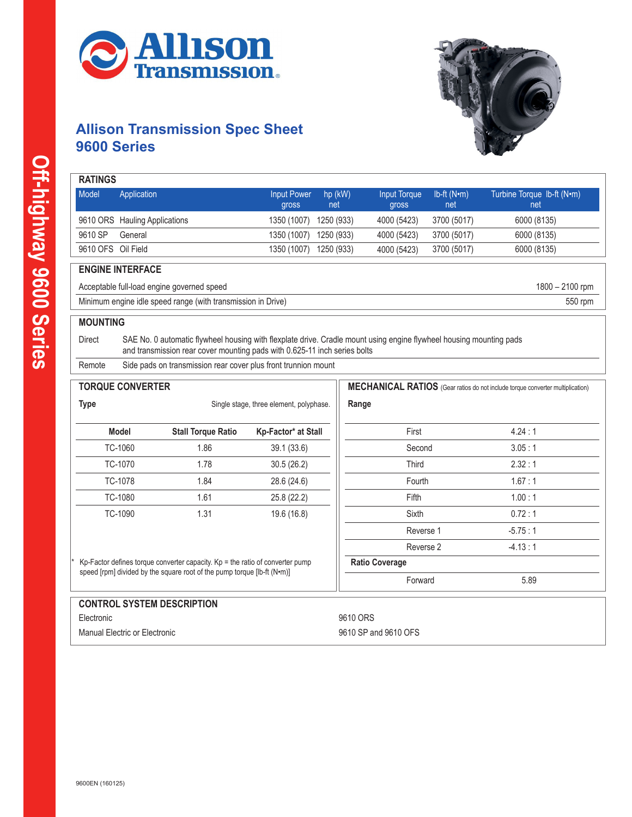



## **Allison Transmission Spec Sheet 9600 Series**

| Model<br>Application                                                            |                                                                                                                                                                                                                                                                    | <b>Input Power</b><br>gross             | hp (kW)<br>net | <b>Input Torque</b><br>gross | Ib-ft (N•m)<br>net | Turbine Torque Ib-ft (N•m)<br>net                                                     |  |  |
|---------------------------------------------------------------------------------|--------------------------------------------------------------------------------------------------------------------------------------------------------------------------------------------------------------------------------------------------------------------|-----------------------------------------|----------------|------------------------------|--------------------|---------------------------------------------------------------------------------------|--|--|
| 9610 ORS Hauling Applications                                                   |                                                                                                                                                                                                                                                                    | 1350 (1007)                             | 1250 (933)     | 4000 (5423)                  | 3700 (5017)        | 6000 (8135)                                                                           |  |  |
| 9610 SP<br>General                                                              |                                                                                                                                                                                                                                                                    | 1350 (1007)                             | 1250 (933)     | 4000 (5423)                  | 3700 (5017)        | 6000 (8135)                                                                           |  |  |
| 9610 OFS Oil Field                                                              |                                                                                                                                                                                                                                                                    | 1350 (1007)                             | 1250 (933)     | 4000 (5423)                  | 3700 (5017)        | 6000 (8135)                                                                           |  |  |
| <b>ENGINE INTERFACE</b>                                                         |                                                                                                                                                                                                                                                                    |                                         |                |                              |                    |                                                                                       |  |  |
|                                                                                 | Acceptable full-load engine governed speed                                                                                                                                                                                                                         |                                         |                |                              |                    | 1800 - 2100 rpm                                                                       |  |  |
| Minimum engine idle speed range (with transmission in Drive)<br>550 rpm         |                                                                                                                                                                                                                                                                    |                                         |                |                              |                    |                                                                                       |  |  |
| Direct<br>Remote                                                                | SAE No. 0 automatic flywheel housing with flexplate drive. Cradle mount using engine flywheel housing mounting pads<br>and transmission rear cover mounting pads with 0.625-11 inch series bolts<br>Side pads on transmission rear cover plus front trunnion mount |                                         |                |                              |                    |                                                                                       |  |  |
| <b>TORQUE CONVERTER</b>                                                         |                                                                                                                                                                                                                                                                    |                                         |                |                              |                    | <b>MECHANICAL RATIOS</b> (Gear ratios do not include torque converter multiplication) |  |  |
| <b>Type</b>                                                                     |                                                                                                                                                                                                                                                                    | Single stage, three element, polyphase. | Range          |                              |                    |                                                                                       |  |  |
| <b>Model</b>                                                                    | <b>Stall Torque Ratio</b>                                                                                                                                                                                                                                          | Kp-Factor* at Stall                     |                | First                        |                    | 4.24:1                                                                                |  |  |
| TC-1060                                                                         | 1.86                                                                                                                                                                                                                                                               | 39.1 (33.6)                             |                | Second                       |                    | 3.05:1                                                                                |  |  |
| TC-1070                                                                         | 1.78                                                                                                                                                                                                                                                               | 30.5(26.2)                              |                | Third                        |                    | 2.32:1                                                                                |  |  |
| TC-1078                                                                         | 1.84                                                                                                                                                                                                                                                               | 28.6 (24.6)                             |                | Fourth                       |                    | 1.67:1                                                                                |  |  |
| TC-1080                                                                         | 1.61                                                                                                                                                                                                                                                               | 25.8 (22.2)                             |                | Fifth                        |                    | 1.00:1                                                                                |  |  |
| TC-1090                                                                         | 1.31                                                                                                                                                                                                                                                               | 19.6 (16.8)                             |                | <b>Sixth</b>                 |                    | 0.72:1                                                                                |  |  |
|                                                                                 |                                                                                                                                                                                                                                                                    |                                         |                | Reverse 1                    |                    | $-5.75:1$                                                                             |  |  |
|                                                                                 |                                                                                                                                                                                                                                                                    |                                         |                | Reverse 2                    |                    | $-4.13:1$                                                                             |  |  |
| Kp-Factor defines torque converter capacity. $Kp =$ the ratio of converter pump |                                                                                                                                                                                                                                                                    |                                         |                | <b>Ratio Coverage</b>        |                    |                                                                                       |  |  |
| speed [rpm] divided by the square root of the pump torque [lb-ft (N·m)]         |                                                                                                                                                                                                                                                                    |                                         |                | Forward                      |                    | 5.89                                                                                  |  |  |
|                                                                                 | <b>CONTROL SYSTEM DESCRIPTION</b>                                                                                                                                                                                                                                  |                                         |                |                              |                    |                                                                                       |  |  |
| Electronic                                                                      |                                                                                                                                                                                                                                                                    |                                         | 9610 ORS       |                              |                    |                                                                                       |  |  |
| Manual Electric or Electronic                                                   |                                                                                                                                                                                                                                                                    |                                         |                | 9610 SP and 9610 OFS         |                    |                                                                                       |  |  |